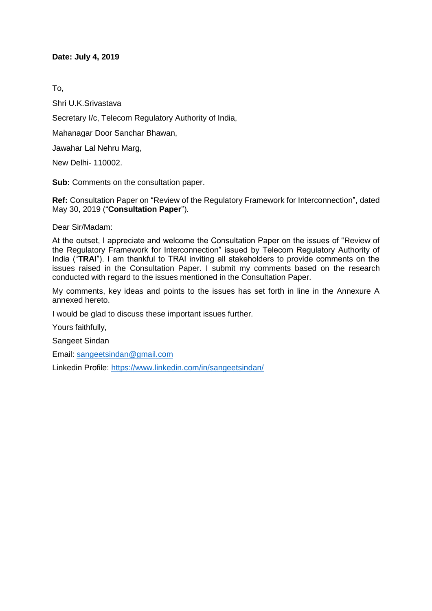### **Date: July 4, 2019**

To,

Shri U.K.Srivastava

Secretary I/c, Telecom Regulatory Authority of India,

Mahanagar Door Sanchar Bhawan,

Jawahar Lal Nehru Marg,

New Delhi- 110002.

**Sub:** Comments on the consultation paper.

**Ref:** Consultation Paper on "Review of the Regulatory Framework for Interconnection", dated May 30, 2019 ("**Consultation Paper**").

Dear Sir/Madam:

At the outset, I appreciate and welcome the Consultation Paper on the issues of "Review of the Regulatory Framework for Interconnection" issued by Telecom Regulatory Authority of India ("**TRAI**"). I am thankful to TRAI inviting all stakeholders to provide comments on the issues raised in the Consultation Paper. I submit my comments based on the research conducted with regard to the issues mentioned in the Consultation Paper.

My comments, key ideas and points to the issues has set forth in line in the Annexure A annexed hereto.

I would be glad to discuss these important issues further.

Yours faithfully,

Sangeet Sindan

Email: [sangeetsindan@gmail.com](mailto:sangeetsindan@gmail.com) 

Linkedin Profile:<https://www.linkedin.com/in/sangeetsindan/>